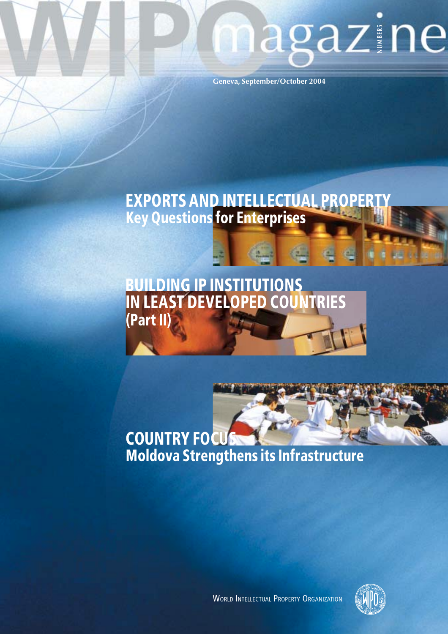# magazine

Geneva, September/October 2004

## **EXPORTS AND INTELLECTUAL PROPERTY**<br>Key Questions for Enterprises

## **BUILDING IP INSTITUTIONS<br>IN LEAST DEVELOPED COUNTRIES** (Part II)

## **COUNTRY FOCU Moldova Strengthens its Infrastructure**



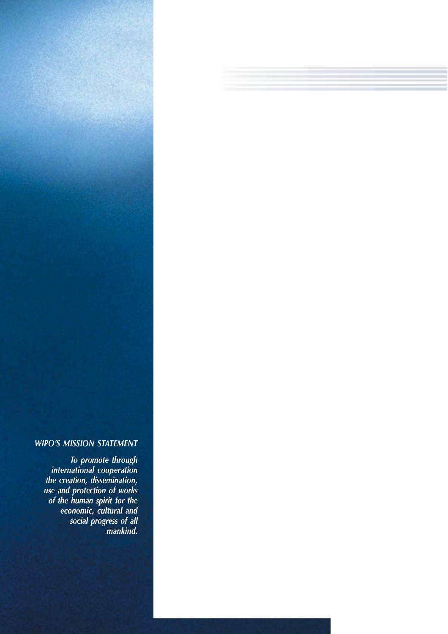#### **WIPO'S MISSION STATEMENT**

To promote through<br>international cooperation the creation, dissemination, use and protection of works<br>of the human spirit for the economic, cultural and<br>social progress of all<br>mankind.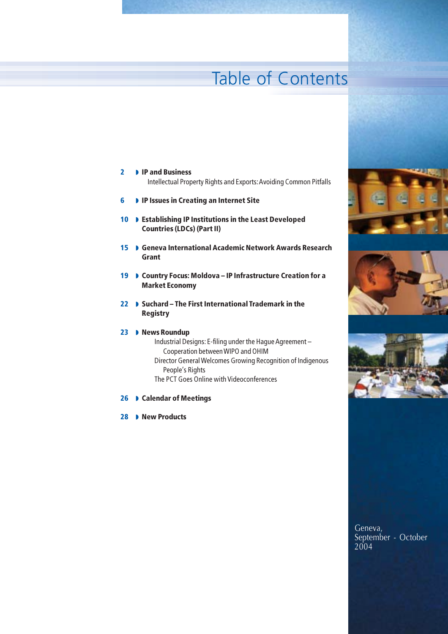## **Table of Contents**

#### $\overline{2}$ **ID** IP and Business

- Intellectual Property Rights and Exports: Avoiding Common Pitfalls
- IP Issues in Creating an Internet Site 6
- 10 D Establishing IP Institutions in the Least Developed **Countries (LDCs) (Part II)**
- 15 Ceneva International Academic Network Awards Research Grant
- 19 Country Focus: Moldova IP Infrastructure Creation for a **Market Economy**
- 22 D Suchard The First International Trademark in the **Registry**

#### 23 D News Roundup

- Industrial Designs: E-filing under the Hague Agreement -Cooperation between WIPO and OHIM Director General Welcomes Growing Recognition of Indigenous People's Rights The PCT Goes Online with Videoconferences
- 26 D Calendar of Meetings
- 28 Mew Products





Geneva, September - October 2004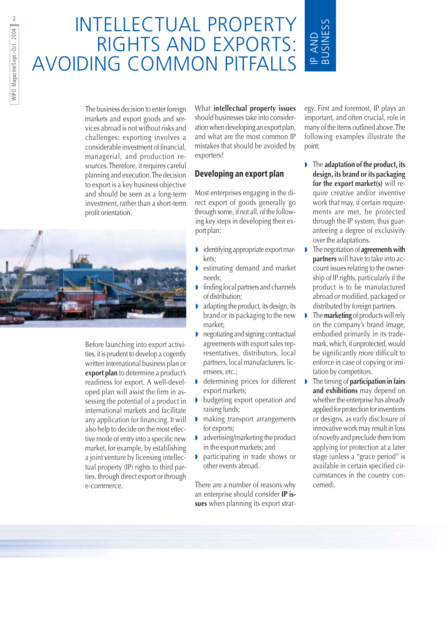## **INTELLECTUAL PROPERTY** RIGHTS AND EXPORTS: AVOIDING COMMON PITFALLS

The business decision to enter foreign markets and export goods and services abroad is not without risks and challenges: exporting involves a considerable investment of financial, managerial, and production resources. Therefore, it requires careful planning and execution. The decision to export is a key business objective and should be seen as a long-term investment, rather than a short-term profit orientation.



Before launching into export activities, it is prudent to develop a cogently written international business plan or export plan to determine a product's readiness for export. A well-developed plan will assist the firm in assessing the potential of a product in international markets and facilitate any application for financing. It will also help to decide on the most effective mode of entry into a specific new market, for example, by establishing a joint venture by licensing intellectual property (IP) rights to third parties, through direct export or through e-commerce.

What intellectual property issues should businesses take into consideration when developing an export plan, and what are the most common IP mistakes that should be avoided by exporters?

#### Developing an export plan

Most enterprises engaging in the direct export of goods generally go through some, if not all, of the following key steps in developing their export plan:

- identifying appropriate export mar-Þ kets;
- estimating demand and market needs:
- finding local partners and channels of distribution;
- adapting the product, its design, its brand or its packaging to the new market;
- negotiating and signing contractual agreements with export sales representatives, distributors, local partners, local manufacturers, licensees, etc.:
- determining prices for different export markets;
- b budgeting export operation and raising funds;
- making transport arrangements for exports:
- advertising/marketing the product in the export markets; and
- participating in trade shows or other events abroad.

There are a number of reasons why an enterprise should consider IP issues when planning its export strat-

egy. First and foremost, IP plays an important, and often crucial, role in many of the items outlined above. The following examples illustrate the point:

**USINESS** 

**P AND** 

- $\blacksquare$  The adaptation of the product, its design, its brand or its packaging for the export market(s) will require creative and/or inventive work that may, if certain requirements are met, be protected through the IP system, thus guaranteeing a degree of exclusivity over the adaptations.
- The negotiation of agreements with D partners will have to take into account issues relating to the ownership of IP rights, particularly if the product is to be manufactured abroad or modified, packaged or distributed by foreign partners.
- The **marketing** of products will rely on the company's brand image, embodied primarily in its trademark, which, if unprotected, would be significantly more difficult to enforce in case of copying or imitation by competitors.
- The timing of participation in fairs Ď and exhibitions may depend on whether the enterprise has already applied for protection for inventions or designs, as early disclosure of innovative work may result in loss of novelty and preclude them from applying for protection at a later stage (unless a "grace period" is available in certain specified circumstances in the country concerned)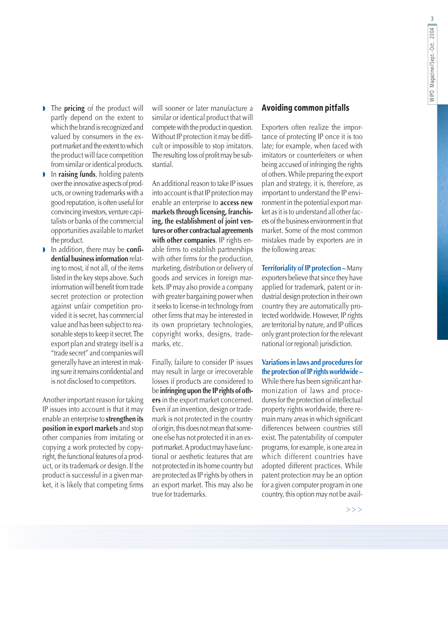- $\triangleright$  The **pricing** of the product will partly depend on the extent to which the brand is recognized and valued by consumers in the export market and the extent to which the product will face competition from similar or identical products.
- In raising funds, holding patents over the innovative aspects of products, or owning trademarks with a good reputation, is often useful for convincing investors, venture capitalists or banks of the commercial opportunities available to market the product.
- In addition, there may be confi-D dential business information relating to most, if not all, of the items listed in the key steps above. Such information will benefit from trade secret protection or protection against unfair competition provided it is secret, has commercial value and has been subject to reasonable steps to keep it secret. The export plan and strategy itself is a "trade secret" and companies will generally have an interest in making sure it remains confidential and is not disclosed to competitors.

Another important reason for taking IP issues into account is that it may enable an enterprise to strengthen its position in export markets and stop other companies from imitating or copying a work protected by copyright, the functional features of a product, or its trademark or design. If the product is successful in a given market, it is likely that competing firms

will sooner or later manufacture a similar or identical product that will compete with the product in question. Without IP protection it may be difficult or impossible to stop imitators. The resulting loss of profit may be substantial.

An additional reason to take IP issues into account is that IP protection may enable an enterprise to **access new** markets through licensing, franchising, the establishment of joint ventures or other contractual agreements with other companies. IP rights enable firms to establish partnerships with other firms for the production, marketing, distribution or delivery of goods and services in foreign markets. IP may also provide a company with greater bargaining power when it seeks to license-in technology from other firms that may be interested in its own proprietary technologies, copyright works, designs, trademarks, etc.

Finally, failure to consider IP issues may result in large or irrecoverable losses if products are considered to be infringing upon the IP rights of others in the export market concerned. Even if an invention, design or trademark is not protected in the country of origin, this does not mean that someone else has not protected it in an export market. A product may have functional or aesthetic features that are not protected in its home country but are protected as IP rights by others in an export market. This may also be true for trademarks.

#### **Avoiding common pitfalls**

Exporters often realize the importance of protecting IP once it is too late; for example, when faced with imitators or counterfeiters or when being accused of infringing the rights of others. While preparing the export plan and strategy, it is, therefore, as important to understand the IP environment in the potential export market as it is to understand all other facets of the business environment in that market. Some of the most common mistakes made by exporters are in the following areas:

Territoriality of IP protection - Many exporters believe that since they have applied for trademark, patent or industrial design protection in their own country they are automatically protected worldwide. However, IP rights are territorial by nature, and IP offices only grant protection for the relevant national (or regional) jurisdiction.

Variations in laws and procedures for the protection of IP rights worldwide -While there has been significant harmonization of laws and procedures for the protection of intellectual property rights worldwide, there remain many areas in which significant differences between countries still exist. The patentability of computer programs, for example, is one area in which different countries have adopted different practices. While patent protection may be an option for a given computer program in one country, this option may not be avail-

 $>>$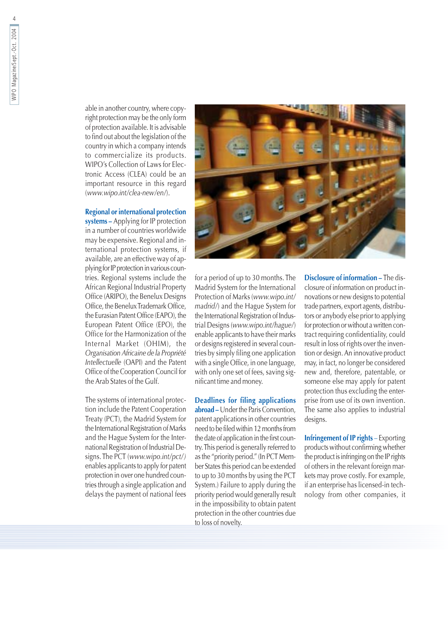able in another country, where copyright protection may be the only form of protection available. It is advisable to find out about the legislation of the country in which a company intends to commercialize its products. WIPO's Collection of Laws for Electronic Access (CLEA) could be an important resource in this regard (www.wipo.int/clea-new/en/).

#### **Regional or international protection**

systems - Applying for IP protection in a number of countries worldwide may be expensive. Regional and international protection systems, if available, are an effective way of applying for IP protection in various countries. Regional systems include the African Regional Industrial Property Office (ARIPO), the Benelux Designs Office, the Benelux Trademark Office, the Eurasian Patent Office (EAPO), the European Patent Office (EPO), the Office for the Harmonization of the Internal Market (OHIM), the Organisation Africaine de la Propriété Intellectuelle (OAPI) and the Patent Office of the Cooperation Council for the Arab States of the Gulf.

The systems of international protection include the Patent Cooperation Treaty (PCT), the Madrid System for the International Registration of Marks and the Hague System for the International Registration of Industrial Designs. The PCT (www.wipo.int/pct/) enables applicants to apply for patent protection in over one hundred countries through a single application and delays the payment of national fees



for a period of up to 30 months. The Madrid System for the International Protection of Marks (www.wipo.int/ madrid/) and the Hague System for the International Registration of Industrial Designs (www.wipo.int/hague/) enable applicants to have their marks or designs registered in several countries by simply filing one application with a single Office, in one language, with only one set of fees, saving significant time and money.

**Deadlines for filing applications** abroad – Under the Paris Convention. patent applications in other countries need to be filed within 12 months from the date of application in the first country. This period is generally referred to as the "priority period." (In PCT Member States this period can be extended to up to 30 months by using the PCT System.) Failure to apply during the priority period would generally result in the impossibility to obtain patent protection in the other countries due to loss of novelty.

Disclosure of information - The disclosure of information on product innovations or new designs to potential trade partners, export agents, distributors or anybody else prior to applying for protection or without a written contract requiring confidentiality, could result in loss of rights over the invention or design. An innovative product may, in fact, no longer be considered new and, therefore, patentable, or someone else may apply for patent protection thus excluding the enterprise from use of its own invention. The same also applies to industrial designs.

**Infringement of IP rights - Exporting** products without confirming whether the product is infringing on the IP rights of others in the relevant foreign markets may prove costly. For example, if an enterprise has licensed-in technology from other companies, it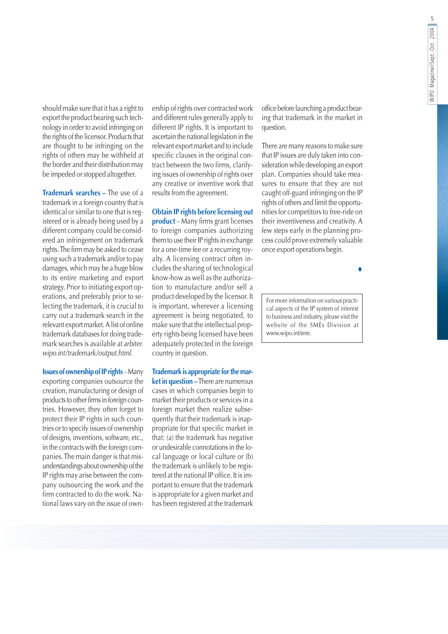should make sure that it has a right to export the product bearing such technology in order to avoid infringing on the rights of the licensor. Products that are thought to be infringing on the rights of others may be withheld at the border and their distribution may be impeded or stopped altogether.

Trademark searches - The use of a trademark in a foreign country that is identical or similar to one that is registered or is already being used by a different company could be considered an infringement on trademark rights. The firm may be asked to cease using such a trademark and/or to pay damages, which may be a huge blow to its entire marketing and export strategy. Prior to initiating export operations, and preferably prior to selecting the trademark, it is crucial to carry out a trademark search in the relevant export market. A list of online trademark databases for doing trademark searches is available at *arbiter*. wipo.int/trademark/output.html.

**Issues of ownership of IP rights** - Many exporting companies outsource the creation, manufacturing or design of products to other firms in foreign countries. However, they often forget to protect their IP rights in such countries or to specify issues of ownership of designs, inventions, software, etc., in the contracts with the foreign companies. The main danger is that misunderstandings about ownership of the IP rights may arise between the company outsourcing the work and the firm contracted to do the work. National laws vary on the issue of ownership of rights over contracted work and different rules generally apply to different IP rights. It is important to ascertain the national legislation in the relevant export market and to include specific clauses in the original contract between the two firms, clarifying issues of ownership of rights over any creative or inventive work that results from the agreement.

#### **Obtain IP rights before licensing out**

product - Many firms grant licenses to foreign companies authorizing them to use their IP rights in exchange for a one-time fee or a recurring royalty. A licensing contract often includes the sharing of technological know-how as well as the authorization to manufacture and/or sell a product developed by the licensor. It is important, wherever a licensing agreement is being negotiated, to make sure that the intellectual property rights being licensed have been adequately protected in the foreign country in question.

Trademark is appropriate for the market in question - There are numerous cases in which companies begin to market their products or services in a foreign market then realize subsequently that their trademark is inappropriate for that specific market in that: (a) the trademark has negative or undesirable connotations in the local language or local culture or (b) the trademark is unlikely to be registered at the national IP office. It is important to ensure that the trademark is appropriate for a given market and has been registered at the trademark office before launching a product bearing that trademark in the market in question.

There are many reasons to make sure that IP issues are duly taken into consideration while developing an export plan. Companies should take measures to ensure that they are not caught off-guard infringing on the IP rights of others and limit the opportunities for competitors to free-ride on their inventiveness and creativity. A few steps early in the planning process could prove extremely valuable once export operations begin.

 $\bullet$ 

For more information on various practical aspects of the IP system of interest to business and industry, please visit the website of the SMEs Division at www.wipo.int/sme.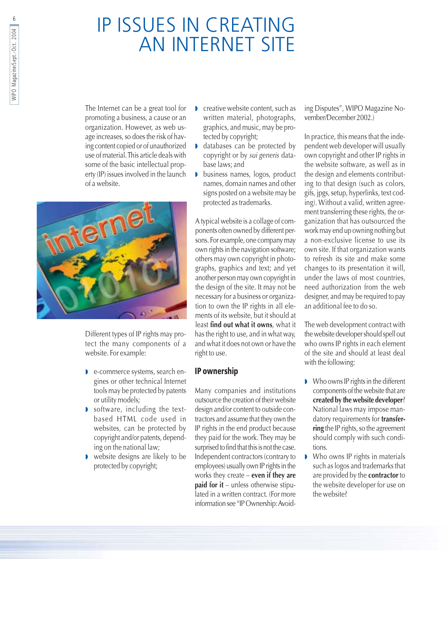## IP ISSUES IN CREATING **AN INTERNET SITE**

The Internet can be a great tool for promoting a business, a cause or an organization. However, as web usage increases, so does the risk of having content copied or of unauthorized use of material. This article deals with some of the basic intellectual property (IP) issues involved in the launch of a website.



Different types of IP rights may protect the many components of a website. For example:

- e-commerce systems, search engines or other technical Internet tools may be protected by patents or utility models;
- software, including the textbased HTML code used in websites, can be protected by copyright and/or patents, depending on the national law;
- website designs are likely to be protected by copyright;
- creative website content, such as written material, photographs, graphics, and music, may be protected by copyright;
- databases can be protected by copyright or by sui generis database laws: and
- business names, logos, product  $\mathbf{r}$ names, domain names and other signs posted on a website may be protected as trademarks.

A typical website is a collage of components often owned by different persons. For example, one company may own rights in the navigation software; others may own copyright in photographs, graphics and text; and yet another person may own copyright in the design of the site. It may not be necessary for a business or organization to own the IP rights in all elements of its website, but it should at least find out what it owns, what it has the right to use, and in what way, and what it does not own or have the right to use.

#### IP ownership

Many companies and institutions outsource the creation of their website design and/or content to outside contractors and assume that they own the IP rights in the end product because they paid for the work. They may be surprised to find that this is not the case. Independent contractors (contrary to employees) usually own IP rights in the works they create  $-$  even if they are **paid for it** – unless otherwise stipulated in a written contract. (For more information see "IP Ownership: Avoiding Disputes", WIPO Magazine November/December 2002.)

In practice, this means that the independent web developer will usually own copyright and other IP rights in the website software, as well as in the design and elements contributing to that design (such as colors, gifs, jpgs, setup, hyperlinks, text coding). Without a valid, written agreement transferring these rights, the organization that has outsourced the work may end up owning nothing but a non-exclusive license to use its own site. If that organization wants to refresh its site and make some changes to its presentation it will, under the laws of most countries, need authorization from the web designer, and may be required to pay an additional fee to do so.

The web development contract with the website developer should spell out who owns IP rights in each element of the site and should at least deal with the following:

- Who owns IP rights in the different components of the website that are created by the website developer? National laws may impose mandatory requirements for transferring the IP rights, so the agreement should comply with such conditions.
- Who owns IP rights in materials such as logos and trademarks that are provided by the contractor to the website developer for use on the website?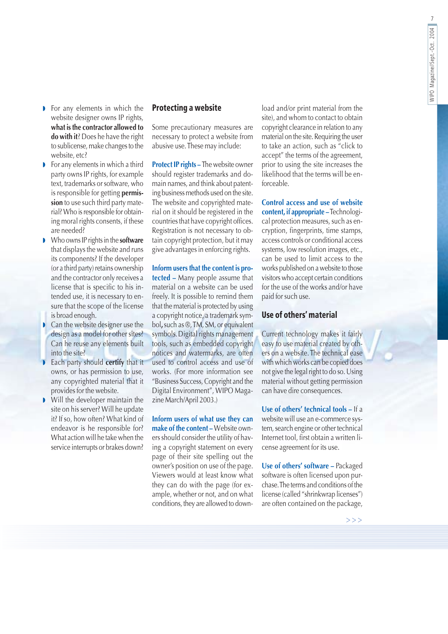- For any elements in which the website designer owns IP rights, what is the contractor allowed to do with it? Does he have the right to sublicense, make changes to the website, etc?
- $\triangleright$  For any elements in which a third party owns IP rights, for example text, trademarks or software, who is responsible for getting permission to use such third party material? Who is responsible for obtaining moral rights consents, if these are needed?
- Who owns IP rights in the **software** that displays the website and runs its components? If the developer (or a third party) retains ownership and the contractor only receives a license that is specific to his intended use, it is necessary to ensure that the scope of the license is broad enough.
- $\bullet$  Can the website designer use the design as a model for other sites? Can he reuse any elements built into the site?
- Each party should certify that it owns, or has permission to use, any copyrighted material that it provides for the website.
- Will the developer maintain the  $\mathbf{L}$ site on his server? Will he update it? If so, how often? What kind of endeavor is he responsible for? What action will he take when the service interrupts or brakes down?

#### **Protecting a website**

Some precautionary measures are necessary to protect a website from abusive use. These may include:

Protect IP rights - The website owner should register trademarks and domain names, and think about patenting business methods used on the site. The website and copyrighted material on it should be registered in the countries that have copyright offices. Registration is not necessary to obtain copyright protection, but it may give advantages in enforcing rights.

Inform users that the content is protected - Many people assume that material on a website can be used freely. It is possible to remind them that the material is protected by using a copyright notice, a trademark symbol, such as ®, TM, SM, or equivalent symbols. Digital rights management tools, such as embedded copyright notices and watermarks, are often used to control access and use of works. (For more information see "Business Success, Copyright and the Digital Environment", WIPO Magazine March/April 2003.)

Inform users of what use they can make of the content - Website owners should consider the utility of having a copyright statement on every page of their site spelling out the owner's position on use of the page. Viewers would at least know what they can do with the page (for example, whether or not, and on what conditions, they are allowed to download and/or print material from the site), and whom to contact to obtain copyright clearance in relation to any material on the site. Requiring the user to take an action, such as "click to accept" the terms of the agreement, prior to using the site increases the likelihood that the terms will be enforceable

Control access and use of website content, if appropriate - Technological protection measures, such as encryption, fingerprints, time stamps, access controls or conditional access systems, low resolution images, etc., can be used to limit access to the works published on a website to those visitors who accept certain conditions for the use of the works and/or have paid for such use.

#### Use of others' material

Current technology makes it fairly easy to use material created by others on a website. The technical ease with which works can be copied does not give the legal right to do so. Using material without getting permission can have dire consequences.

Use of others' technical tools - If a website will use an e-commerce system, search engine or other technical Internet tool, first obtain a written license agreement for its use.

Use of others' software - Packaged software is often licensed upon purchase. The terms and conditions of the license (called "shrinkwrap licenses") are often contained on the package,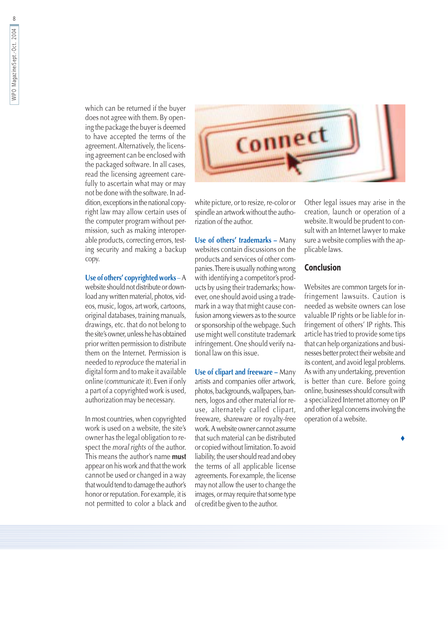which can be returned if the buyer does not agree with them. By opening the package the buyer is deemed to have accepted the terms of the agreement. Alternatively, the licensing agreement can be enclosed with the packaged software. In all cases, read the licensing agreement carefully to ascertain what may or may not be done with the software. In addition, exceptions in the national copyright law may allow certain uses of the computer program without permission, such as making interoperable products, correcting errors, testing security and making a backup copy.

#### Use of others' copyrighted works - A

website should not distribute or download any written material, photos, videos, music, logos, art work, cartoons, original databases, training manuals, drawings, etc. that do not belong to the site's owner, unless he has obtained prior written permission to distribute them on the Internet. Permission is needed to reproduce the material in digital form and to make it available online (communicate it). Even if only a part of a copyrighted work is used, authorization may be necessary.

In most countries, when copyrighted work is used on a website, the site's owner has the legal obligation to respect the *moral rights* of the author. This means the author's name must appear on his work and that the work cannot be used or changed in a way that would tend to damage the author's honor or reputation. For example, it is not permitted to color a black and



white picture, or to resize, re-color or spindle an artwork without the authorization of the author.

Use of others' trademarks - Many websites contain discussions on the products and services of other companies. There is usually nothing wrong with identifying a competitor's products by using their trademarks; however, one should avoid using a trademark in a way that might cause confusion among viewers as to the source or sponsorship of the webpage. Such use might well constitute trademark infringement. One should verify national law on this issue.

Use of clipart and freeware - Many artists and companies offer artwork, photos, backgrounds, wallpapers, banners, logos and other material for reuse, alternately called clipart, freeware, shareware or royalty-free work. A website owner cannot assume that such material can be distributed or copied without limitation. To avoid liability, the user should read and obey the terms of all applicable license agreements. For example, the license may not allow the user to change the images, or may require that some type of credit be given to the author.

Other legal issues may arise in the creation, launch or operation of a website. It would be prudent to consult with an Internet lawyer to make sure a website complies with the applicable laws.

#### **Conclusion**

Websites are common targets for infringement lawsuits. Caution is needed as website owners can lose valuable IP rights or be liable for infringement of others' IP rights. This article has tried to provide some tips that can help organizations and businesses better protect their website and its content, and avoid legal problems. As with any undertaking, prevention is better than cure. Before going online, businesses should consult with a specialized Internet attorney on IP and other legal concerns involving the operation of a website.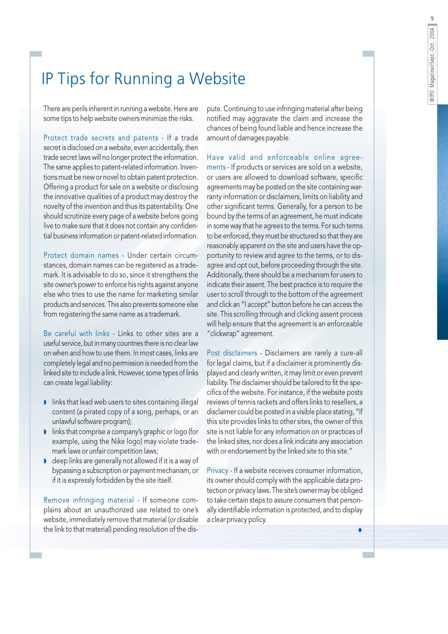## IP Tips for Running a Website

There are perils inherent in running a website. Here are some tips to help website owners minimize the risks.

Protect trade secrets and patents - If a trade secret is disclosed on a website, even accidentally, then trade secret laws will no longer protect the information. The same applies to patent-related information. Inventions must be new or novel to obtain patent protection. Offering a product for sale on a website or disclosing the innovative qualities of a product may destroy the novelty of the invention and thus its patentability. One should scrutinize every page of a website before going live to make sure that it does not contain any confidential business information or patent-related information.

Protect domain names - Under certain circumstances, domain names can be registered as a trademark. It is advisable to do so, since it strengthens the site owner's power to enforce his rights against anyone else who tries to use the name for marketing similar products and services. This also prevents someone else from registering the same name as a trademark.

Be careful with links - Links to other sites are a useful service, but in many countries there is no clear law on when and how to use them. In most cases, links are completely legal and no permission is needed from the linked site to include a link. However, some types of links can create legal liability:

- I links that lead web users to sites containing illegal content (a pirated copy of a song, perhaps, or an unlawful software program);
- Inks that comprise a company's graphic or logo (for example, using the Nike logo) may violate trademark laws or unfair competition laws;
- **I** deep links are generally not allowed if it is a way of bypassing a subscription or payment mechanism, or if it is expressly forbidden by the site itself.

Remove infringing material - If someone complains about an unauthorized use related to one's website, immediately remove that material (or disable the link to that material) pending resolution of the dispute. Continuing to use infringing material after being notified may aggravate the claim and increase the chances of being found liable and hence increase the amount of damages payable.

Have valid and enforceable online agreements - If products or services are sold on a website, or users are allowed to download software, specific agreements may be posted on the site containing warranty information or disclaimers, limits on liability and other significant terms. Generally, for a person to be bound by the terms of an agreement, he must indicate in some way that he agrees to the terms. For such terms to be enforced, they must be structured so that they are reasonably apparent on the site and users have the opportunity to review and agree to the terms, or to disagree and opt out, before proceeding through the site. Additionally, there should be a mechanism for users to indicate their assent. The best practice is to require the user to scroll through to the bottom of the agreement and click an "I accept" button before he can access the site. This scrolling through and clicking assent process will help ensure that the agreement is an enforceable "clickwrap" agreement.

Post disclaimers - Disclaimers are rarely a cure-all for legal claims, but if a disclaimer is prominently displayed and clearly written, it may limit or even prevent liability. The disclaimer should be tailored to fit the specifics of the website. For instance, if the website posts reviews of tennis rackets and offers links to resellers, a disclaimer could be posted in a visible place stating, "If this site provides links to other sites, the owner of this site is not liable for any information on or practices of the linked sites, nor does a link indicate any association with or endorsement by the linked site to this site."

Privacy - If a website receives consumer information, its owner should comply with the applicable data protection or privacy laws. The site's owner may be obliged to take certain steps to assure consumers that personally identifiable information is protected, and to display a clear privacy policy.

٠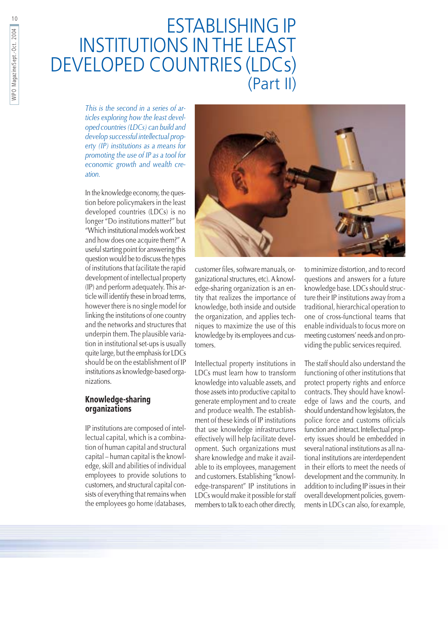## **ESTABLISHING IP INSTITUTIONS IN THE LEAST DEVELOPED COUNTRIES (LDCs)** (Part II)

This is the second in a series of articles exploring how the least developed countries (LDCs) can build and develop successful intellectual property  $(IP)$  institutions as a means for promoting the use of IP as a tool for economic growth and wealth creation.

In the knowledge economy, the question before policymakers in the least developed countries (LDCs) is no longer "Do institutions matter?" but "Which institutional models work best and how does one acquire them?" A useful starting point for answering this question would be to discuss the types of institutions that facilitate the rapid development of intellectual property (IP) and perform adequately. This article will identify these in broad terms, however there is no single model for linking the institutions of one country and the networks and structures that underpin them. The plausible variation in institutional set-ups is usually quite large, but the emphasis for LDCs should be on the establishment of IP institutions as knowledge-based organizations.

#### **Knowledge-sharing** organizations

IP institutions are composed of intellectual capital, which is a combination of human capital and structural capital - human capital is the knowledge, skill and abilities of individual employees to provide solutions to customers, and structural capital consists of everything that remains when the employees go home (databases,



customer files, software manuals, organizational structures, etc). A knowledge-sharing organization is an entity that realizes the importance of knowledge, both inside and outside the organization, and applies techniques to maximize the use of this knowledge by its employees and customers.

Intellectual property institutions in LDCs must learn how to transform knowledge into valuable assets, and those assets into productive capital to generate employment and to create and produce wealth. The establishment of these kinds of IP institutions that use knowledge infrastructures effectively will help facilitate development. Such organizations must share knowledge and make it available to its employees, management and customers. Establishing "knowledge-transparent" IP institutions in LDCs would make it possible for staff members to talk to each other directly, to minimize distortion, and to record questions and answers for a future knowledge base. LDCs should structure their IP institutions away from a traditional, hierarchical operation to one of cross-functional teams that enable individuals to focus more on meeting customers' needs and on providing the public services required.

The staff should also understand the functioning of other institutions that protect property rights and enforce contracts. They should have knowledge of laws and the courts, and should understand how legislators, the police force and customs officials function and interact. Intellectual property issues should be embedded in several national institutions as all national institutions are interdependent in their efforts to meet the needs of development and the community. In addition to including IP issues in their overall development policies, governments in LDCs can also, for example,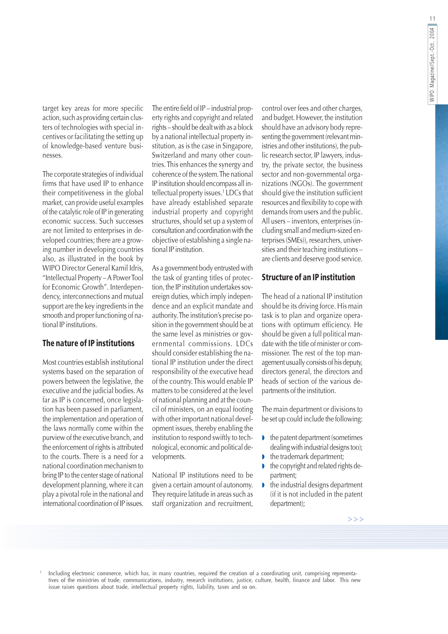target key areas for more specific action, such as providing certain clusters of technologies with special incentives or facilitating the setting up of knowledge-based venture businesses.

The corporate strategies of individual firms that have used IP to enhance their competitiveness in the global market, can provide useful examples of the catalytic role of IP in generating economic success. Such successes are not limited to enterprises in developed countries; there are a growing number in developing countries also, as illustrated in the book by WIPO Director General Kamil Idris, "Intellectual Property - A Power Tool for Economic Growth". Interdependency, interconnections and mutual support are the key ingredients in the smooth and proper functioning of national IP institutions.

#### The nature of IP institutions

Most countries establish institutional systems based on the separation of powers between the legislative, the executive and the judicial bodies. As far as IP is concerned, once legislation has been passed in parliament, the implementation and operation of the laws normally come within the purview of the executive branch, and the enforcement of rights is attributed to the courts. There is a need for a national coordination mechanism to bring IP to the center stage of national development planning, where it can play a pivotal role in the national and international coordination of IP issues.

The entire field of IP - industrial property rights and copyright and related rights - should be dealt with as a block by a national intellectual property institution, as is the case in Singapore, Switzerland and many other countries. This enhances the synergy and coherence of the system. The national IP institution should encompass all intellectual property issues.<sup>1</sup> LDCs that have already established separate industrial property and copyright structures, should set up a system of consultation and coordination with the objective of establishing a single national IP institution.

As a government body entrusted with the task of granting titles of protection, the IP institution undertakes sovereign duties, which imply independence and an explicit mandate and authority. The institution's precise position in the government should be at the same level as ministries or governmental commissions. LDCs should consider establishing the national IP institution under the direct responsibility of the executive head of the country. This would enable IP matters to be considered at the level of national planning and at the council of ministers, on an equal footing with other important national development issues, thereby enabling the institution to respond swiftly to technological, economic and political developments.

National IP institutions need to be given a certain amount of autonomy. They require latitude in areas such as staff organization and recruitment,

control over fees and other charges, and budget. However, the institution should have an advisory body representing the government (relevant ministries and other institutions), the public research sector, IP lawyers, industry, the private sector, the business sector and non-governmental organizations (NGOs). The government should give the institution sufficient resources and flexibility to cope with demands from users and the public. All users – inventors, enterprises (including small and medium-sized enterprises (SMEs)), researchers, universities and their teaching institutions are clients and deserve good service.

#### **Structure of an IP institution**

The head of a national IP institution should be its driving force. His main task is to plan and organize operations with optimum efficiency. He should be given a full political mandate with the title of minister or commissioner. The rest of the top management usually consists of his deputy, directors general, the directors and heads of section of the various departments of the institution.

The main department or divisions to be set up could include the following:

- $\bullet$  the patent department (sometimes dealing with industrial designs too);
- the trademark department;
- the copyright and related rights department;
- the industrial designs department  $\mathbf{r}$ (if it is not included in the patent department);

Including electronic commerce, which has, in many countries, required the creation of a coordinating unit, comprising representa-<br>tives of the ministries of trade, communications, industry, research institutions, justice, issue raises questions about trade, intellectual property rights, liability, taxes and so on.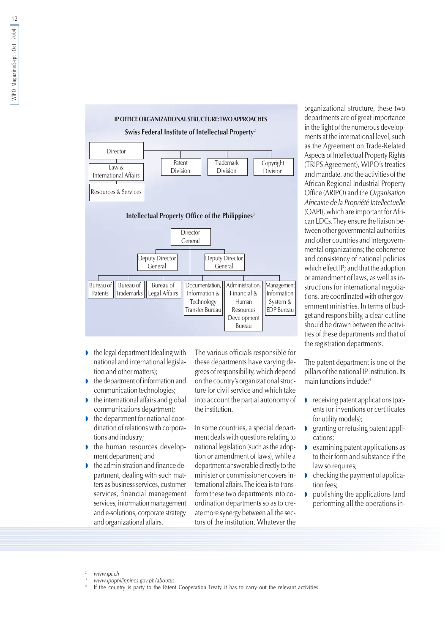

- $\bullet$  the legal department (dealing with national and international legislation and other matters);
- the department of information and communication technologies;
- the international affairs and global D communications department;
- the department for national coordination of relations with corporations and industry;
- the human resources development department; and
- the administration and finance department, dealing with such matters as business services, customer services, financial management services, information management and e-solutions, corporate strategy and organizational affairs.

The various officials responsible for these departments have varying degrees of responsibility, which depend on the country's organizational structure for civil service and which take into account the partial autonomy of the institution.

In some countries, a special department deals with questions relating to national legislation (such as the adoption or amendment of laws), while a department answerable directly to the minister or commissioner covers international affairs. The idea is to transform these two departments into coordination departments so as to create more synergy between all the sectors of the institution. Whatever the

organizational structure, these two departments are of great importance in the light of the numerous developments at the international level, such as the Agreement on Trade-Related Aspects of Intellectual Property Rights (TRIPS Agreement), WIPO's treaties and mandate, and the activities of the African Regional Industrial Property Office (ARIPO) and the Organisation Africaine de la Propriété Intellectuelle (OAPI), which are important for African LDCs. They ensure the liaison between other governmental authorities and other countries and intergovernmental organizations; the coherence and consistency of national policies which effect IP; and that the adoption or amendment of laws, as well as instructions for international negotiations, are coordinated with other government ministries. In terms of budget and responsibility, a clear-cut line should be drawn between the activities of these departments and that of the registration departments.

The patent department is one of the pillars of the national IP institution. Its main functions include:4

- $\bullet$  receiving patent applications (patents for inventions or certificates for utility models);
- $\blacksquare$ granting or refusing patent applications;
- $\mathbf{L}$ examining patent applications as to their form and substance if the law so requires;
- checking the payment of application fees:
- publishing the applications (and  $\begin{array}{c} \hline \end{array}$ performing all the operations in-

If the country is party to the Patent Cooperation Treaty it has to carry out the relevant activities.

www.ipi.ch

www.ipophilippines.gov.ph/aboutus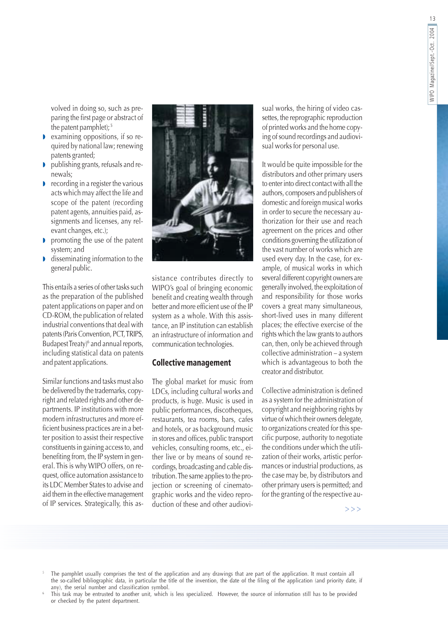volved in doing so, such as preparing the first page or abstract of the patent pamphlet);<sup>5</sup>

- examining oppositions, if so required by national law; renewing patents granted;
- publishing grants, refusals and renewals;
- $\triangleright$  recording in a register the various acts which may affect the life and scope of the patent (recording patent agents, annuities paid, assignments and licenses, any relevant changes, etc.);
- promoting the use of the patent system; and
- disseminating information to the general public.

This entails a series of other tasks such as the preparation of the published patent applications on paper and on CD-ROM, the publication of related industrial conventions that deal with patents (Paris Convention, PCT, TRIPS, Budapest Treaty)<sup>6</sup> and annual reports, including statistical data on patents and patent applications.

Similar functions and tasks must also be delivered by the trademarks, copyright and related rights and other departments. IP institutions with more modern infrastructures and more efficient business practices are in a better position to assist their respective constituents in gaining access to, and benefiting from, the IP system in general. This is why WIPO offers, on request, office automation assistance to its LDC Member States to advise and aid them in the effective management of IP services. Strategically, this as-



sistance contributes directly to WIPO's goal of bringing economic benefit and creating wealth through better and more efficient use of the IP system as a whole. With this assistance, an IP institution can establish an infrastructure of information and communication technologies.

#### **Collective management**

The global market for music from LDCs, including cultural works and products, is huge. Music is used in public performances, discotheques, restaurants, tea rooms, bars, cafes and hotels, or as background music in stores and offices, public transport vehicles, consulting rooms, etc., either live or by means of sound recordings, broadcasting and cable distribution. The same applies to the projection or screening of cinematographic works and the video reproduction of these and other audiovisual works, the hiring of video cassettes, the reprographic reproduction of printed works and the home copying of sound recordings and audiovisual works for personal use.

It would be quite impossible for the distributors and other primary users to enter into direct contact with all the authors, composers and publishers of domestic and foreign musical works in order to secure the necessary authorization for their use and reach agreement on the prices and other conditions governing the utilization of the vast number of works which are used every day. In the case, for example, of musical works in which several different copyright owners are generally involved, the exploitation of and responsibility for those works covers a great many simultaneous, short-lived uses in many different places; the effective exercise of the rights which the law grants to authors can, then, only be achieved through collective administration - a system which is advantageous to both the creator and distributor.

Collective administration is defined as a system for the administration of copyright and neighboring rights by virtue of which their owners delegate, to organizations created for this specific purpose, authority to negotiate the conditions under which the utilization of their works, artistic performances or industrial productions, as the case may be, by distributors and other primary users is permitted; and for the granting of the respective au-

 $>>$ 

- The pamphlet usually comprises the text of the application and any drawings that are part of the application. It must contain all the so-called bibliographic data, in particular the title of the invention, the date of the filing of the application (and priority date, if any), the serial number and classification symbol.
- This task may be entrusted to another unit, which is less specialized. However, the source of information still has to be provided or checked by the patent department.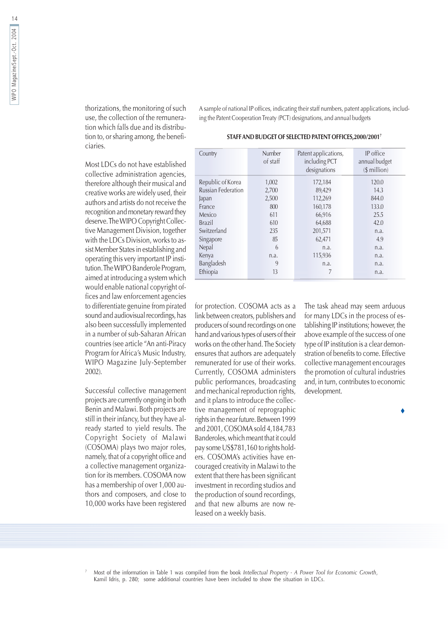thorizations, the monitoring of such use, the collection of the remuneration which falls due and its distribution to, or sharing among, the beneficiaries.

Most LDCs do not have established collective administration agencies, therefore although their musical and creative works are widely used, their authors and artists do not receive the recognition and monetary reward they deserve. The WIPO Copyright Collective Management Division, together with the LDCs Division, works to assist Member States in establishing and operating this very important IP institution. The WIPO Banderole Program, aimed at introducing a system which would enable national copyright offices and law enforcement agencies to differentiate genuine from pirated sound and audiovisual recordings, has also been successfully implemented in a number of sub-Saharan African countries (see article "An anti-Piracy Program for Africa's Music Industry, WIPO Magazine July-September  $2002$ ).

Successful collective management projects are currently ongoing in both Benin and Malawi. Both projects are still in their infancy, but they have already started to yield results. The Copyright Society of Malawi (COSOMA) plays two major roles, namely, that of a copyright office and a collective management organization for its members. COSOMA now has a membership of over 1,000 authors and composers, and close to 10,000 works have been registered A sample of national IP offices, indicating their staff numbers, patent applications, including the Patent Cooperation Treaty (PCT) designations, and annual budgets

STAFF AND BUDGET OF SELECTED PATENT OFFICES, 2000/20017

| Country                   | Number<br>of staff | Patent applications,<br>including PCT<br>designations | IP office<br>annual budget<br>$$$ million) |
|---------------------------|--------------------|-------------------------------------------------------|--------------------------------------------|
| Republic of Korea         | 1,002              | 172,184                                               | 120.0                                      |
| <b>Russian Federation</b> | 2,700              | 89,429                                                | 14.3                                       |
| Japan                     | 2,500              | 112,269                                               | 844.0                                      |
| France                    | 800                | 160,178                                               | 133.0                                      |
| Mexico                    | 611                | 66,916                                                | 25.5                                       |
| <b>Brazil</b>             | 610                | 64,688                                                | 42.0                                       |
| Switzerland               | 235                | 201,571                                               | n.a.                                       |
| Singapore                 | 85                 | 62,471                                                | 4.9                                        |
| Nepal                     | 6                  | n.a.                                                  | n.a.                                       |
| Kenya                     | n.a.               | 115,936                                               | n.a.                                       |
| Bangladesh                | 9                  | n.a.                                                  | n.a.                                       |
| Ethiopia                  | 13                 | 7                                                     | n.a.                                       |

for protection. COSOMA acts as a link between creators, publishers and producers of sound recordings on one hand and various types of users of their works on the other hand. The Society ensures that authors are adequately remunerated for use of their works. Currently, COSOMA administers public performances, broadcasting and mechanical reproduction rights, and it plans to introduce the collective management of reprographic rights in the near future. Between 1999 and 2001, COSOMA sold 4,184,783 Banderoles, which meant that it could pay some US\$781,160 to rights holders. COSOMA's activities have encouraged creativity in Malawi to the extent that there has been significant investment in recording studios and the production of sound recordings, and that new albums are now released on a weekly basis.

The task ahead may seem arduous for many LDCs in the process of establishing IP institutions; however, the above example of the success of one type of IP institution is a clear demonstration of benefits to come. Effective collective management encourages the promotion of cultural industries and, in turn, contributes to economic development.

Most of the information in Table 1 was compiled from the book Intellectual Property - A Power Tool for Economic Growth, Kamil Idris, p. 280; some additional countries have been included to show the situation in LDCs.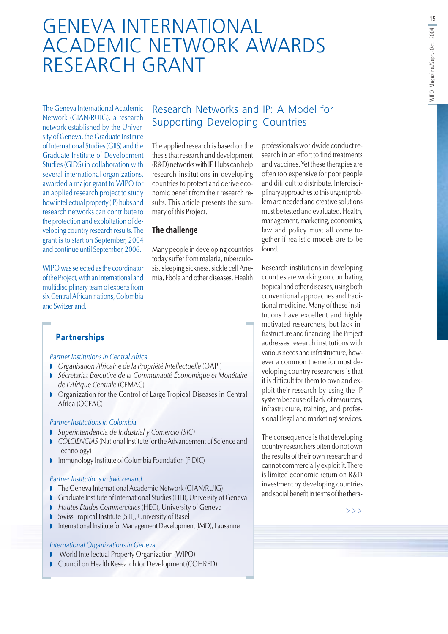## **GENEVA INTERNATIONAL ACADEMIC NETWORK AWARDS** RESEARCH GRANT

The Geneva International Academic Network (GIAN/RUIG), a research network established by the University of Geneva, the Graduate Institute of International Studies (GIIS) and the **Graduate Institute of Development** Studies (GIDS) in collaboration with several international organizations, awarded a major grant to WIPO for an applied research project to study how intellectual property (IP) hubs and research networks can contribute to the protection and exploitation of developing country research results. The grant is to start on September, 2004 and continue until September, 2006.

WIPO was selected as the coordinator of the Project, with an international and multidisciplinary team of experts from six Central African nations, Colombia and Switzerland.

#### Research Networks and IP: A Model for **Supporting Developing Countries**

The applied research is based on the thesis that research and development (R&D) networks with IP Hubs can help research institutions in developing countries to protect and derive economic benefit from their research results. This article presents the summary of this Project.

#### The challenge

Many people in developing countries today suffer from malaria, tuberculosis, sleeping sickness, sickle cell Anemia. Ebola and other diseases. Health

**Partnerships** 

#### Partner Institutions in Central Africa

- Organisation Africaine de la Propriété Intellectuelle (OAPI)
- Sécretariat Executive de la Communauté Économique et Monétaire de l'Afrique Centrale (CEMAC)
- Organization for the Control of Large Tropical Diseases in Central Africa (OCEAC)

#### Partner Institutions in Colombia

- Superintendencia de Industrial y Comercio (SIC)
- COLCIENCIAS (National Institute for the Advancement of Science and Technology)
- Immunology Institute of Columbia Foundation (FIDIC)

#### **Partner Institutions in Switzerland**

- The Geneva International Academic Network (GIAN/RUIG)
- Graduate Institute of International Studies (HEI), University of Geneva
- Hautes Etudes Commerciales (HEC), University of Geneva ¥
- Swiss Tropical Institute (STI), University of Basel
- International Institute for Management Development (IMD), Lausanne

#### International Organizations in Geneva

- World Intellectual Property Organization (WIPO)
- Council on Health Research for Development (COHRED)

professionals worldwide conduct research in an effort to find treatments and vaccines. Yet these therapies are often too expensive for poor people and difficult to distribute. Interdisciplinary approaches to this urgent problem are needed and creative solutions must be tested and evaluated. Health. management, marketing, economics, law and policy must all come together if realistic models are to be found.

Research institutions in developing counties are working on combating tropical and other diseases, using both conventional approaches and traditional medicine. Many of these institutions have excellent and highly motivated researchers, but lack infrastructure and financing. The Project addresses research institutions with various needs and infrastructure, however a common theme for most developing country researchers is that it is difficult for them to own and exploit their research by using the IP system because of lack of resources, infrastructure, training, and professional (legal and marketing) services.

The consequence is that developing country researchers often do not own the results of their own research and cannot commercially exploit it. There is limited economic return on R&D investment by developing countries and social benefit in terms of the thera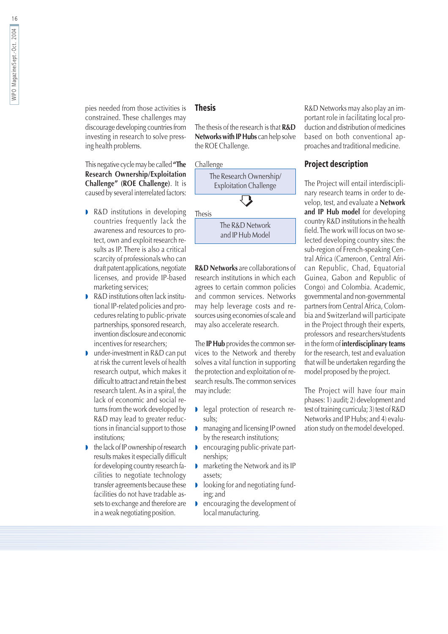pies needed from those activities is constrained. These challenges may discourage developing countries from investing in research to solve pressing health problems.

This negative cycle may be called "The Research Ownership/Exploitation Challenge" (ROE Challenge). It is caused by several interrelated factors:

- R&D institutions in developing countries frequently lack the awareness and resources to protect, own and exploit research results as IP. There is also a critical scarcity of professionals who can draft patent applications, negotiate licenses, and provide IP-based marketing services;
- R&D institutions often lack institu-D tional IP-related policies and procedures relating to public-private partnerships, sponsored research, invention disclosure and economic incentives for researchers:
- under-investment in R&D can put D at risk the current levels of health research output, which makes it difficult to attract and retain the best research talent. As in a spiral, the lack of economic and social returns from the work developed by R&D may lead to greater reductions in financial support to those institutions:
- the lack of IP ownership of research results makes it especially difficult for developing country research facilities to negotiate technology transfer agreements because these facilities do not have tradable assets to exchange and therefore are in a weak negotiating position.

#### **Thesis**

The thesis of the research is that **R&D** Networks with IP Hubs can help solve the ROE Challenge.

#### Challenge



**R&D Networks** are collaborations of research institutions in which each agrees to certain common policies and common services. Networks may help leverage costs and resources using economies of scale and may also accelerate research.

The IP Hub provides the common services to the Network and thereby solves a vital function in supporting the protection and exploitation of research results. The common services may include:

- legal protection of research results;
- managing and licensing IP owned by the research institutions;
- encouraging public-private partnerships:
- marketing the Network and its IP assets:
- $\triangleright$  looking for and negotiating funding; and
- **D** encouraging the development of local manufacturing.

R&D Networks may also play an important role in facilitating local production and distribution of medicines based on both conventional approaches and traditional medicine.

#### **Project description**

The Project will entail interdisciplinary research teams in order to develop, test, and evaluate a Network and IP Hub model for developing country R&D institutions in the health field. The work will focus on two selected developing country sites: the sub-region of French-speaking Central Africa (Cameroon, Central African Republic, Chad, Equatorial Guinea, Gabon and Republic of Congo) and Colombia. Academic, governmental and non-governmental partners from Central Africa, Colombia and Switzerland will participate in the Project through their experts, professors and researchers/students in the form of **interdisciplinary teams** for the research, test and evaluation that will be undertaken regarding the model proposed by the project.

The Project will have four main phases: 1) audit; 2) development and test of training curricula; 3) test of R&D Networks and IP Hubs; and 4) evaluation study on the model developed.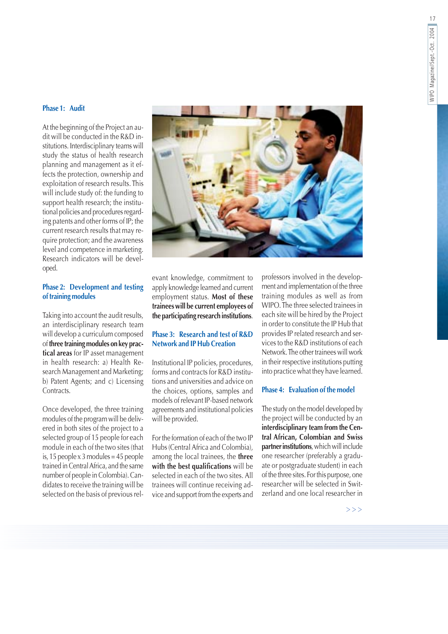#### Phase 1: Audit

At the beginning of the Project an audit will be conducted in the R&D institutions. Interdisciplinary teams will study the status of health research planning and management as it effects the protection, ownership and exploitation of research results. This will include study of: the funding to support health research; the institutional policies and procedures regarding patents and other forms of IP; the current research results that may require protection; and the awareness level and competence in marketing. Research indicators will be developed.

#### **Phase 2: Development and testing** of training modules

Taking into account the audit results, an interdisciplinary research team will develop a curriculum composed of three training modules on key practical areas for IP asset management in health research: a) Health Research Management and Marketing; b) Patent Agents; and c) Licensing Contracts.

Once developed, the three training modules of the program will be delivered in both sites of the project to a selected group of 15 people for each module in each of the two sites (that is, 15 people  $\times$  3 modules = 45 people trained in Central Africa, and the same number of people in Colombia). Candidates to receive the training will be selected on the basis of previous rel-



evant knowledge, commitment to apply knowledge learned and current employment status. Most of these trainees will be current employees of the participating research institutions.

#### Phase 3: Research and test of R&D **Network and IP Hub Creation**

Institutional IP policies, procedures, forms and contracts for R&D institutions and universities and advice on the choices, options, samples and models of relevant IP-based network agreements and institutional policies will be provided.

For the formation of each of the two IP Hubs (Central Africa and Colombia), among the local trainees, the three with the best qualifications will be selected in each of the two sites. All trainees will continue receiving advice and support from the experts and professors involved in the development and implementation of the three training modules as well as from WIPO. The three selected trainees in each site will be hired by the Project in order to constitute the IP Hub that provides IP related research and services to the R&D institutions of each Network. The other trainees will work in their respective institutions putting into practice what they have learned.

#### Phase  $4$  Evaluation of the model

The study on the model developed by the project will be conducted by an interdisciplinary team from the Central African, Colombian and Swiss partner institutions, which will include one researcher (preferably a graduate or postgraduate student) in each of the three sites. For this purpose, one researcher will be selected in Switzerland and one local researcher in

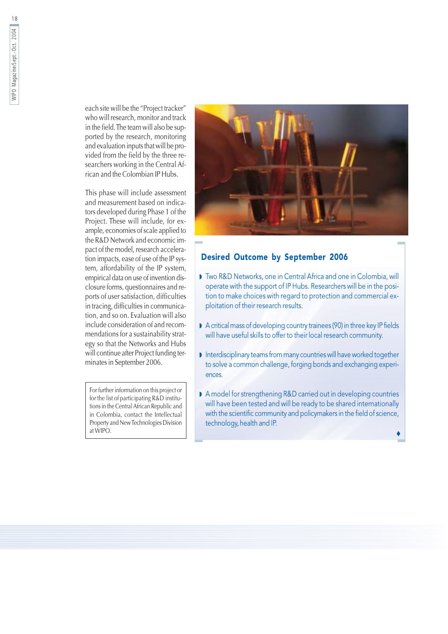each site will be the "Project tracker" who will research, monitor and track in the field. The team will also be supported by the research, monitoring and evaluation inputs that will be provided from the field by the three researchers working in the Central African and the Colombian IP Hubs.

This phase will include assessment and measurement based on indicators developed during Phase 1 of the Project. These will include, for example, economies of scale applied to the R&D Network and economic impact of the model, research acceleration impacts, ease of use of the IP system, affordability of the IP system, empirical data on use of invention disclosure forms, questionnaires and reports of user satisfaction, difficulties in tracing, difficulties in communication, and so on. Evaluation will also include consideration of and recommendations for a sustainability strategy so that the Networks and Hubs will continue after Project funding terminates in September 2006.

For further information on this project or for the list of participating R&D institutions in the Central African Republic and in Colombia, contact the Intellectual Property and New Technologies Division at WIPO.



#### **Desired Outcome by September 2006**

- Two R&D Networks, one in Central Africa and one in Colombia, will operate with the support of IP Hubs. Researchers will be in the position to make choices with regard to protection and commercial exploitation of their research results.
- A critical mass of developing country trainees (90) in three key IP fields will have useful skills to offer to their local research community.
- Interdisciplinary teams from many countries will have worked together to solve a common challenge, forging bonds and exchanging experiences.
- A model for strengthening R&D carried out in developing countries will have been tested and will be ready to be shared internationally with the scientific community and policymakers in the field of science, technology, health and IP.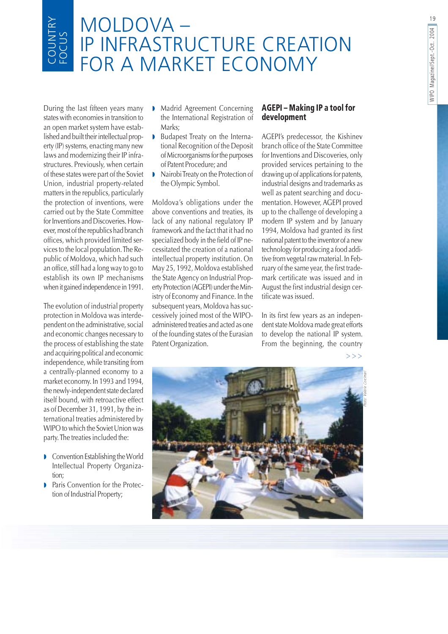# MOLDOVA –<br>IP INFRASTRUCTURE CREATION<br>FOR A MARKET ECONOMY

During the last fifteen years many states with economies in transition to an open market system have established and built their intellectual property (IP) systems, enacting many new laws and modernizing their IP infrastructures. Previously, when certain of these states were part of the Soviet Union, industrial property-related matters in the republics, particularly the protection of inventions, were carried out by the State Committee for Inventions and Discoveries. However, most of the republics had branch offices, which provided limited services to the local population. The Republic of Moldova, which had such an office, still had a long way to go to establish its own IP mechanisms when it gained independence in 1991.

The evolution of industrial property protection in Moldova was interdependent on the administrative, social and economic changes necessary to the process of establishing the state and acquiring political and economic independence, while transiting from a centrally-planned economy to a market economy. In 1993 and 1994, the newly-independent state declared itself bound, with retroactive effect as of December 31, 1991, by the international treaties administered by WIPO to which the Soviet Union was party. The treaties included the:

- Convention Establishing the World Intellectual Property Organization;
- Paris Convention for the Protection of Industrial Property;
- Madrid Agreement Concerning the International Registration of Marks:
- Budapest Treaty on the Internab tional Recognition of the Deposit of Microorganisms for the purposes of Patent Procedure: and
- Nairobi Treaty on the Protection of  $\mathbf{L}$ the Olympic Symbol.

Moldova's obligations under the above conventions and treaties, its lack of any national regulatory IP framework and the fact that it had no specialized body in the field of IP necessitated the creation of a national intellectual property institution. On May 25, 1992, Moldova established the State Agency on Industrial Property Protection (AGEPI) under the Ministry of Economy and Finance. In the subsequent years, Moldova has successively joined most of the WIPOadministered treaties and acted as one of the founding states of the Eurasian Patent Organization.

#### **AGEPI - Making IP a tool for** development

AGEPI's predecessor, the Kishinev branch office of the State Committee for Inventions and Discoveries, only provided services pertaining to the drawing up of applications for patents, industrial designs and trademarks as well as patent searching and documentation. However, AGEPI proved up to the challenge of developing a modern IP system and by January 1994, Moldova had granted its first national patent to the inventor of a new technology for producing a food additive from vegetal raw material. In February of the same year, the first trademark certificate was issued and in August the first industrial design certificate was issued.

In its first few years as an independent state Moldova made great efforts to develop the national IP system. From the beginning, the country

 $>>$ 

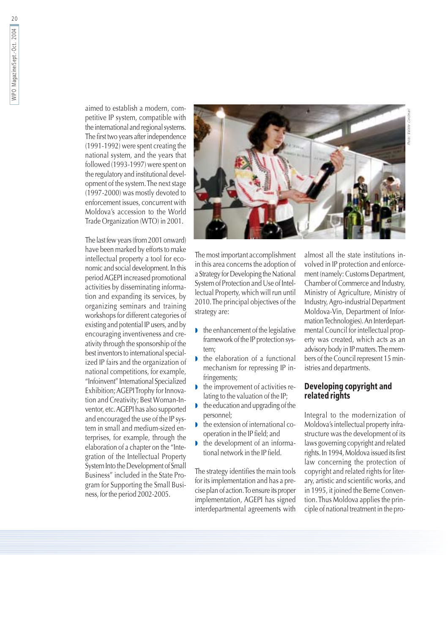aimed to establish a modern, competitive IP system, compatible with the international and regional systems. The first two years after independence (1991-1992) were spent creating the national system, and the years that followed (1993-1997) were spent on the regulatory and institutional development of the system. The next stage (1997-2000) was mostly devoted to enforcement issues, concurrent with Moldova's accession to the World Trade Organization (WTO) in 2001.

The last few years (from 2001 onward) have been marked by efforts to make intellectual property a tool for economic and social development. In this period AGEPI increased promotional activities by disseminating information and expanding its services, by organizing seminars and training workshops for different categories of existing and potential IP users, and by encouraging inventiveness and creativity through the sponsorship of the best inventors to international specialized IP fairs and the organization of national competitions, for example, "Infoinvent" International Specialized Exhibition; AGEPITrophy for Innovation and Creativity; Best Woman-Inventor, etc. AGEPI has also supported and encouraged the use of the IP system in small and medium-sized enterprises, for example, through the elaboration of a chapter on the "Integration of the Intellectual Property System Into the Development of Small Business" included in the State Program for Supporting the Small Business, for the period 2002-2005.



The most important accomplishment in this area concerns the adoption of a Strategy for Developing the National System of Protection and Use of Intellectual Property, which will run until 2010. The principal objectives of the strategy are:

- $\bullet$  the enhancement of the legislative framework of the IP protection system:
- the elaboration of a functional mechanism for repressing IP infringements;
- the improvement of activities relating to the valuation of the IP;
- the education and upgrading of the personnel:
- $\bullet$  the extension of international cooperation in the IP field; and
- the development of an informational network in the IP field.

The strategy identifies the main tools for its implementation and has a precise plan of action. To ensure its proper implementation, AGEPI has signed interdepartmental agreements with

almost all the state institutions involved in IP protection and enforcement (namely: Customs Department, Chamber of Commerce and Industry, Ministry of Agriculture, Ministry of Industry, Agro-industrial Department Moldova-Vin, Department of Information Technologies). An Interdepartmental Council for intellectual property was created, which acts as an advisory body in IP matters. The members of the Council represent 15 ministries and departments.

#### **Developing copyright and** related rights

Integral to the modernization of Moldova's intellectual property infrastructure was the development of its laws governing copyright and related rights. In 1994, Moldova issued its first law concerning the protection of copyright and related rights for literary, artistic and scientific works, and in 1995, it joined the Berne Convention. Thus Moldova applies the principle of national treatment in the pro-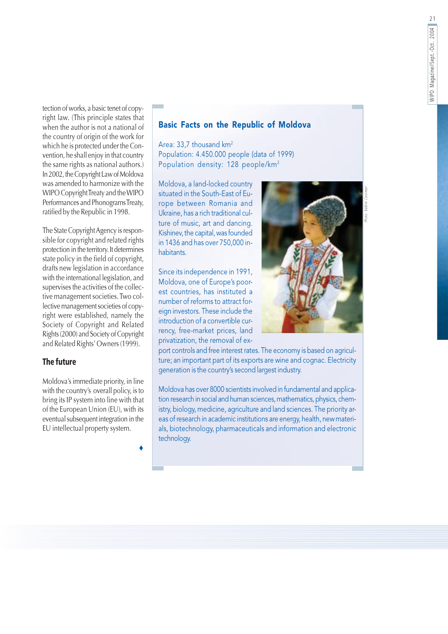tection of works, a basic tenet of copyright law. (This principle states that when the author is not a national of the country of origin of the work for which he is protected under the Convention, he shall enjoy in that country the same rights as national authors.) In 2002, the Copyright Law of Moldova was amended to harmonize with the WIPO Copyright Treaty and the WIPO Performances and Phonograms Treaty, ratified by the Republic in 1998.

The State Copyright Agency is responsible for copyright and related rights protection in the territory. It determines state policy in the field of copyright, drafts new legislation in accordance with the international legislation, and supervises the activities of the collective management societies. Two collective management societies of copyright were established, namely the Society of Copyright and Related Rights (2000) and Society of Copyright and Related Rights' Owners (1999).

#### **The future**

Moldova's immediate priority, in line with the country's overall policy, is to bring its IP system into line with that of the European Union (EU), with its eventual subsequent integration in the EU intellectual property system.

#### **Basic Facts on the Republic of Moldova**

Area: 33,7 thousand km<sup>2</sup> Population: 4.450.000 people (data of 1999) Population density: 128 people/km<sup>2</sup>

Moldova, a land-locked country situated in the South-East of Europe between Romania and Ukraine, has a rich traditional culture of music, art and dancing. Kishinev, the capital, was founded in 1436 and has over 750,000 inhabitants

Since its independence in 1991, Moldova, one of Europe's poorest countries, has instituted a number of reforms to attract foreign investors. These include the introduction of a convertible currency, free-market prices, land privatization, the removal of ex-



port controls and free interest rates. The economy is based on agriculture; an important part of its exports are wine and cognac. Electricity generation is the country's second largest industry.

Moldova has over 8000 scientists involved in fundamental and application research in social and human sciences, mathematics, physics, chemistry, biology, medicine, agriculture and land sciences. The priority areas of research in academic institutions are energy, health, new materials, biotechnology, pharmaceuticals and information and electronic technology.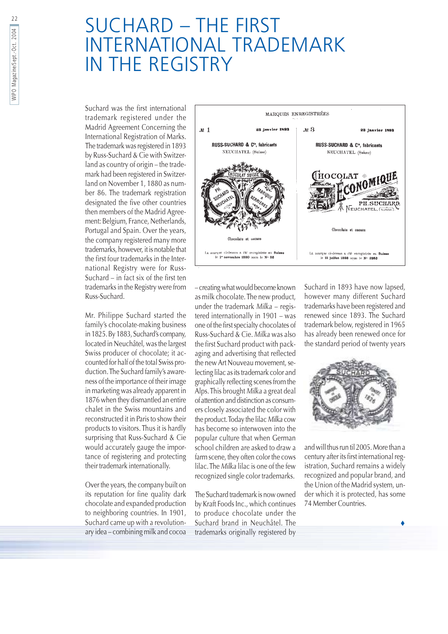## **SUCHARD - THE FIRST INTERNATIONAL TRADEMARK** IN THE REGISTRY

Suchard was the first international trademark registered under the Madrid Agreement Concerning the International Registration of Marks. The trademark was registered in 1893 by Russ-Suchard & Cie with Switzerland as country of origin - the trademark had been registered in Switzerland on November 1, 1880 as number 86. The trademark registration designated the five other countries then members of the Madrid Agreement: Belgium, France, Netherlands, Portugal and Spain. Over the years, the company registered many more trademarks, however, it is notable that the first four trademarks in the International Registry were for Russ-Suchard - in fact six of the first ten trademarks in the Registry were from Russ-Suchard.

Mr. Philippe Suchard started the family's chocolate-making business in 1825. By 1883, Suchard's company, located in Neuchâtel, was the largest Swiss producer of chocolate; it accounted for half of the total Swiss production. The Suchard family's awareness of the importance of their image in marketing was already apparent in 1876 when they dismantled an entire chalet in the Swiss mountains and reconstructed it in Paris to show their products to visitors. Thus it is hardly surprising that Russ-Suchard & Cie would accurately gauge the importance of registering and protecting their trademark internationally.

Over the years, the company built on its reputation for fine quality dark chocolate and expanded production to neighboring countries. In 1901, Suchard came up with a revolutionary idea – combining milk and cocoa



- creating what would become known as milk chocolate. The new product, under the trademark  $Milka$  – registered internationally in 1901 - was one of the first specialty chocolates of Russ-Suchard & Cie. Milka was also the first Suchard product with packaging and advertising that reflected the new Art Nouveau movement, selecting lilac as its trademark color and graphically reflecting scenes from the Alps. This brought Milka a great deal of attention and distinction as consumers closely associated the color with the product. Today the lilac Milka cow has become so interwoven into the popular culture that when German school children are asked to draw a farm scene, they often color the cows lilac. The Milka lilac is one of the few recognized single color trademarks.

The Suchard trademark is now owned by Kraft Foods Inc., which continues to produce chocolate under the Suchard brand in Neuchâtel. The trademarks originally registered by

Suchard in 1893 have now lapsed, however many different Suchard trademarks have been registered and renewed since 1893. The Suchard trademark below, registered in 1965 has already been renewed once for the standard period of twenty years



and will thus run til 2005. More than a century after its first international registration, Suchard remains a widely recognized and popular brand, and the Union of the Madrid system, under which it is protected, has some 74 Member Countries.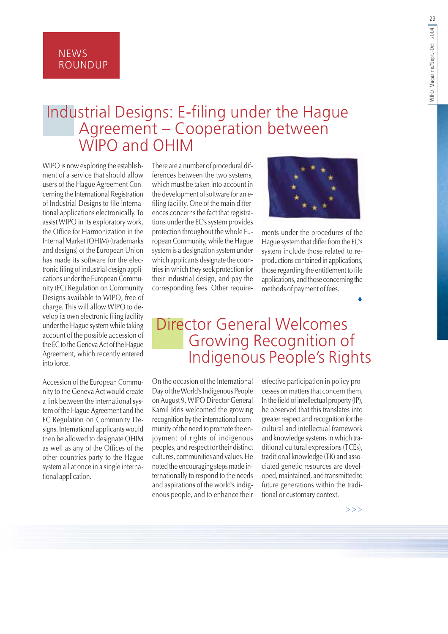**NEWS ROUNDUP** 

## Industrial Designs: E-filing under the Hague Agreement - Cooperation between<br>WIPO and OHIM

WIPO is now exploring the establishment of a service that should allow users of the Hague Agreement Concerning the International Registration of Industrial Designs to file international applications electronically. To assist WIPO in its exploratory work, the Office for Harmonization in the Internal Market (OHIM) (trademarks and designs) of the European Union has made its software for the electronic filing of industrial design applications under the European Community (EC) Regulation on Community Designs available to WIPO, free of charge. This will allow WIPO to develop its own electronic filing facility under the Hague system while taking account of the possible accession of the EC to the Geneva Act of the Hague Agreement, which recently entered into force.

Accession of the European Community to the Geneva Act would create a link between the international system of the Hague Agreement and the EC Regulation on Community Designs. International applicants would then be allowed to designate OHIM as well as any of the Offices of the other countries party to the Hague system all at once in a single international application.

There are a number of procedural differences between the two systems, which must be taken into account in the development of software for an efiling facility. One of the main differences concerns the fact that registrations under the EC's system provides protection throughout the whole European Community, while the Hague system is a designation system under which applicants designate the countries in which they seek protection for their industrial design, and pay the corresponding fees. Other require-



ments under the procedures of the Hague system that differ from the EC's system include those related to reproductions contained in applications, those regarding the entitlement to file applications, and those concerning the methods of payment of fees.

### **Director General Welcomes Growing Recognition of** Indigenous People's Rights

On the occasion of the International Day of the World's Indigenous People on August 9, WIPO Director General Kamil Idris welcomed the growing recognition by the international community of the need to promote the enjoyment of rights of indigenous peoples, and respect for their distinct cultures, communities and values. He noted the encouraging steps made internationally to respond to the needs and aspirations of the world's indigenous people, and to enhance their effective participation in policy processes on matters that concern them. In the field of intellectual property (IP). he observed that this translates into greater respect and recognition for the cultural and intellectual framework and knowledge systems in which traditional cultural expressions (TCEs), traditional knowledge (TK) and associated genetic resources are developed, maintained, and transmitted to future generations within the traditional or customary context.

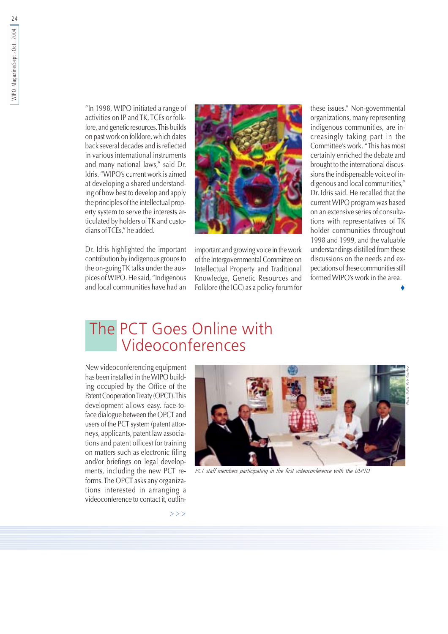"In 1998, WIPO initiated a range of activities on IP and TK, TCEs or folklore, and genetic resources. This builds on past work on folklore, which dates back several decades and is reflected in various international instruments and many national laws." said Dr. Idris. "WIPO's current work is aimed at developing a shared understanding of how best to develop and apply the principles of the intellectual property system to serve the interests articulated by holders of TK and custodians of TCEs." he added.

Dr. Idris highlighted the important contribution by indigenous groups to the on-going TK talks under the auspices of WIPO. He said, "Indigenous and local communities have had an



important and growing voice in the work of the Intergovernmental Committee on Intellectual Property and Traditional Knowledge, Genetic Resources and Folklore (the IGC) as a policy forum for

these issues." Non-governmental organizations, many representing indigenous communities, are increasingly taking part in the Committee's work. "This has most certainly enriched the debate and brought to the international discussions the indispensable voice of indigenous and local communities," Dr. Idris said. He recalled that the current WIPO program was based on an extensive series of consultations with representatives of TK holder communities throughout 1998 and 1999, and the valuable understandings distilled from these discussions on the needs and expectations of these communities still formed WIPO's work in the area.

## The PCT Goes Online with Videoconferences

New videoconferencing equipment has been installed in the WIPO building occupied by the Office of the Patent Cooperation Treaty (OPCT). This development allows easy, face-toface dialogue between the OPCT and users of the PCT system (patent attorneys, applicants, patent law associations and patent offices) for training on matters such as electronic filing and/or briefings on legal developments, including the new PCT reforms. The OPCT asks any organizations interested in arranging a videoconference to contact it, outlin-



PCT staff members participating in the first videoconference with the USPTO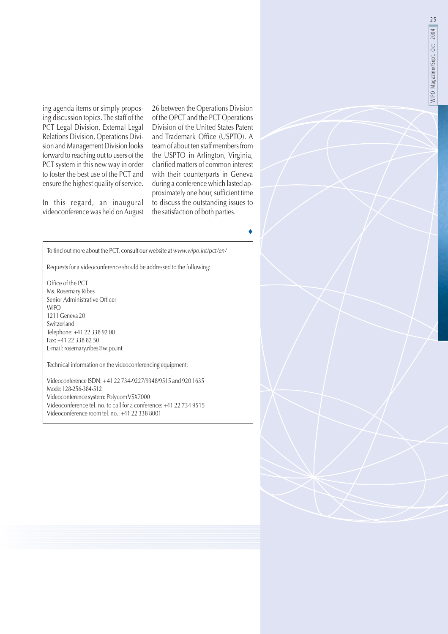ing agenda items or simply proposing discussion topics. The staff of the PCT Legal Division, External Legal Relations Division, Operations Division and Management Division looks forward to reaching out to users of the PCT system in this new way in order to foster the best use of the PCT and ensure the highest quality of service.

In this regard, an inaugural videoconference was held on August 26 between the Operations Division of the OPCT and the PCT Operations Division of the United States Patent and Trademark Office (USPTO). A team of about ten staff members from the USPTO in Arlington, Virginia, clarified matters of common interest with their counterparts in Geneva during a conference which lasted approximately one hour, sufficient time to discuss the outstanding issues to the satisfaction of both parties.

To find out more about the PCT, consult our website at www.wipo.int/pct/en/

Requests for a videoconference should be addressed to the following:

Office of the PCT Ms. Rosemary Ribes Senior Administrative Officer **WIPO** 1211 Geneva 20 Switzerland Telephone: +41 22 338 92 00 Fax: +41 22 338 82 50 E-mail: rosemary.ribes@wipo.int

Technical information on the videoconferencing equipment:

Videoconference ISDN: +41 22 734-9227/9348/9515 and 920 1635 Mode: 128-256-384-512 Videoconference system: Polycom VSX7000 Videoconference tel. no. to call for a conference: +41 22 734 9515 Videoconference room tel. no.: +41 22 338 8001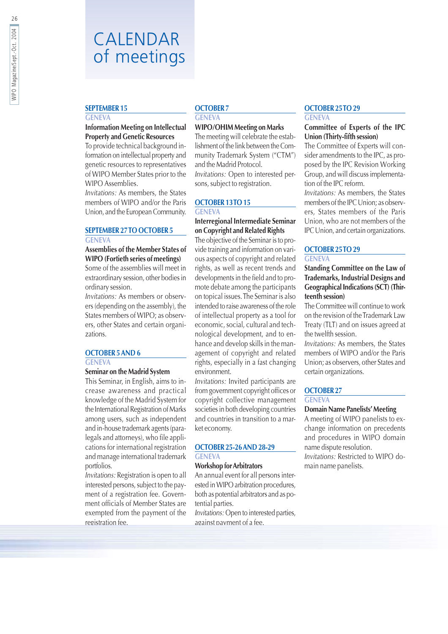## CALENDAR of meetings

#### **SEPTEMBER 15**

#### **GENEVA**

#### **Information Meeting on Intellectual Property and Genetic Resources**

To provide technical background information on intellectual property and genetic resources to representatives of WIPO Member States prior to the WIPO Assemblies.

Invitations: As members, the States members of WIPO and/or the Paris Union, and the European Community.

#### **SEPTEMBER 27 TO OCTOBER 5 GENEVA**

#### Assemblies of the Member States of **WIPO** (Fortieth series of meetings)

Some of the assemblies will meet in extraordinary session, other bodies in ordinary session.

Invitations: As members or observers (depending on the assembly), the States members of WIPO; as observers, other States and certain organizations.

#### **OCTOBER 5 AND 6**

#### **GENEVA**

#### Seminar on the Madrid System

This Seminar, in English, aims to increase awareness and practical knowledge of the Madrid System for the International Registration of Marks among users, such as independent and in-house trademark agents (paralegals and attorneys), who file applications for international registration and manage international trademark portfolios.

Invitations: Registration is open to all interested persons, subject to the payment of a registration fee. Government officials of Member States are exempted from the payment of the registration fee.

#### **OCTOBER 7**

#### **GENEVA**

#### **WIPO/OHIM Meeting on Marks**

The meeting will celebrate the establishment of the link between the Community Trademark System ("CTM") and the Madrid Protocol. Invitations: Open to interested persons, subject to registration.

#### OCTOBER 13TO 15

#### **GENEVA**

#### Interregional Intermediate Seminar on Copyright and Related Rights

The objective of the Seminar is to provide training and information on various aspects of copyright and related rights, as well as recent trends and developments in the field and to promote debate among the participants on topical issues. The Seminar is also intended to raise awareness of the role of intellectual property as a tool for economic, social, cultural and technological development, and to enhance and develop skills in the management of copyright and related rights, especially in a fast changing environment.

Invitations: Invited participants are from government copyright offices or copyright collective management societies in both developing countries and countries in transition to a market economy.

#### **OCTOBER 25-26 AND 28-29 GENEVA**

#### **Workshop for Arbitrators**

An annual event for all persons interested in WIPO arbitration procedures, both as potential arbitrators and as potential parties.

Invitations: Open to interested parties, against payment of a fee.

#### **OCTOBER 25TO 29 GENEVA**

#### Committee of Experts of the IPC Union (Thirty-fifth session)

The Committee of Experts will consider amendments to the IPC, as proposed by the IPC Revision Working Group, and will discuss implementation of the IPC reform.

Invitations: As members, the States members of the IPC Union; as observers. States members of the Paris Union, who are not members of the IPC Union, and certain organizations.

#### **OCTOBER 25TO 29 GENEVA**

#### Standing Committee on the Law of **Trademarks, Industrial Designs and Geographical Indications (SCT) (Thir**teenth session)

The Committee will continue to work on the revision of the Trademark Law Treaty (TLT) and on issues agreed at the twelfth session.

Invitations: As members, the States members of WIPO and/or the Paris Union; as observers, other States and certain organizations.

#### **OCTOBER 27**

#### **GENEVA**

#### **Domain Name Panelists' Meeting**

A meeting of WIPO panelists to exchange information on precedents and procedures in WIPO domain name dispute resolution. Invitations: Restricted to WIPO domain name panelists.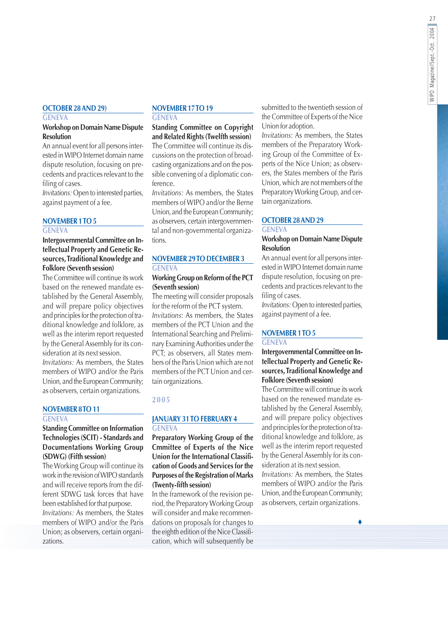#### **OCTOBER 28 AND 29)**

#### **GENEVA**

#### **Workshop on Domain Name Dispute Resolution**

An annual event for all persons interested in WIPO Internet domain name dispute resolution, focusing on precedents and practices relevant to the filing of cases.

Invitations: Open to interested parties, against payment of a fee.

#### **NOVEMBER 1TO 5**

#### **GENEVA**

Intergovernmental Committee on Intellectual Property and Genetic Resources, Traditional Knowledge and **Folklore (Seventh session)** 

The Committee will continue its work based on the renewed mandate established by the General Assembly, and will prepare policy objectives and principles for the protection of traditional knowledge and folklore, as well as the interim report requested by the General Assembly for its consideration at its next session.

Invitations: As members, the States members of WIPO and/or the Paris Union, and the European Community; as observers, certain organizations.

#### NOVEMBER 8TO 11

#### **GENEVA**

#### **Standing Committee on Information** Technologies (SCIT) - Standards and **Documentations Working Group** (SDWG) (Fifth session)

The Working Group will continue its work in the revision of WIPO standards and will receive reports from the different SDWG task forces that have been established for that purpose.

*Invitations:* As members, the States members of WIPO and/or the Paris Union; as observers, certain organizations.

#### NOVEMBER 17TO 19

**GENEVA** 

**Standing Committee on Copyright** and Related Rights (Twelfth session) The Committee will continue its discussions on the protection of broadcasting organizations and on the possible convening of a diplomatic conference.

Invitations: As members, the States members of WIPO and/or the Berne Union, and the European Community: as observers, certain intergovernmental and non-governmental organizations.

#### **NOVEMBER 29 TO DECEMBER 3 GENEVA**

#### **Working Group on Reform of the PCT** (Seventh session)

The meeting will consider proposals for the reform of the PCT system. Invitations: As members, the States members of the PCT Union and the International Searching and Preliminary Examining Authorities under the PCT: as observers, all States members of the Paris Union which are not members of the PCT Union and certain organizations.

#### 2005

#### **JANUARY 31 TO FEBRUARY 4 GENEVA**

Preparatory Working Group of the Cmmittee of Experts of the Nice Union for the International Classification of Goods and Services for the **Purposes of the Registration of Marks** (Twenty-fifth session)

In the framework of the revision period, the Preparatory Working Group will consider and make recommendations on proposals for changes to the eighth edition of the Nice Classification, which will subsequently be submitted to the twentieth session of the Committee of Experts of the Nice Union for adoption.

Invitations: As members, the States members of the Preparatory Working Group of the Committee of Experts of the Nice Union; as observers, the States members of the Paris Union, which are not members of the Preparatory Working Group, and certain organizations.

#### **OCTOBER 28 AND 29**

#### **GENEVA**

#### **Workshop on Domain Name Dispute Resolution**

An annual event for all persons interested in WIPO Internet domain name dispute resolution, focusing on precedents and practices relevant to the filing of cases.

Invitations: Open to interested parties, against payment of a fee.

#### **NOVEMBER 1 TO 5**

#### **GENEVA**

#### Intergovernmental Committee on Intellectual Property and Genetic Resources, Traditional Knowledge and **Folklore (Seventh session)**

The Committee will continue its work based on the renewed mandate established by the General Assembly, and will prepare policy objectives and principles for the protection of traditional knowledge and folklore, as well as the interim report requested by the General Assembly for its consideration at its next session.

Invitations: As members, the States members of WIPO and/or the Paris Union, and the European Community; as observers, certain organizations.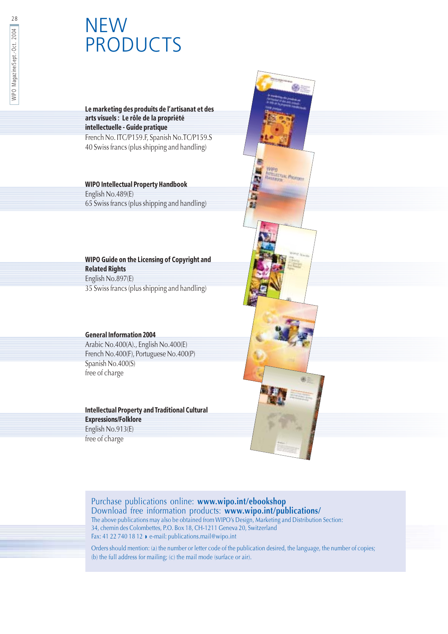# NEW<br>PRODUCTS

#### Le marketing des produits de l'artisanat et des arts visuels : Le rôle de la propriété intellectuelle - Guide pratique

French No. ITC/P159.F, Spanish No.TC/P159.S 40 Swiss francs (plus shipping and handling)

#### **WIPO Intellectual Property Handbook**

English No.489(E) 65 Swiss francs (plus shipping and handling)

#### WIPO Guide on the Licensing of Copyright and **Related Rights** English No.897(E)

35 Swiss francs (plus shipping and handling)

#### **General Information 2004**

Arabic No.400(A)., English No.400(E) French No.400(F), Portuguese No.400(P) Spanish No.400(S) free of charge

#### **Intellectual Property and Traditional Cultural Expressions/Folklore**

English No.913(E) free of charge



#### Purchase publications online: www.wipo.int/ebookshop

Download free information products: www.wipo.int/publications/ The above publications may also be obtained from WIPO's Design, Marketing and Distribution Section: 34, chemin des Colombettes, P.O. Box 18, CH-1211 Geneva 20, Switzerland<br>Fax: 41 22 740 18 12 ▶ e-mail: publications.mail@wipo.int

Orders should mention: (a) the number or letter code of the publication desired, the language, the number of copies; (b) the full address for mailing; (c) the mail mode (surface or air).